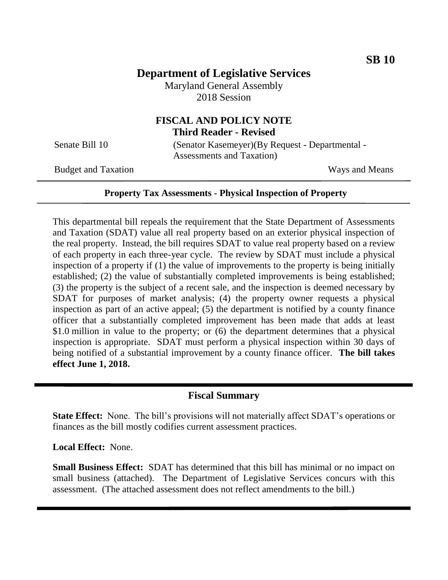# **Department of Legislative Services**

Maryland General Assembly 2018 Session

# **FISCAL AND POLICY NOTE Third Reader - Revised**

Senate Bill 10 (Senator Kasemeyer)(By Request - Departmental - Assessments and Taxation)

Budget and Taxation Ways and Means

#### **Property Tax Assessments - Physical Inspection of Property**

This departmental bill repeals the requirement that the State Department of Assessments and Taxation (SDAT) value all real property based on an exterior physical inspection of the real property. Instead, the bill requires SDAT to value real property based on a review of each property in each three-year cycle. The review by SDAT must include a physical inspection of a property if (1) the value of improvements to the property is being initially established; (2) the value of substantially completed improvements is being established; (3) the property is the subject of a recent sale, and the inspection is deemed necessary by SDAT for purposes of market analysis; (4) the property owner requests a physical inspection as part of an active appeal; (5) the department is notified by a county finance officer that a substantially completed improvement has been made that adds at least \$1.0 million in value to the property; or (6) the department determines that a physical inspection is appropriate. SDAT must perform a physical inspection within 30 days of being notified of a substantial improvement by a county finance officer. **The bill takes effect June 1, 2018.**

#### **Fiscal Summary**

**State Effect:** None. The bill's provisions will not materially affect SDAT's operations or finances as the bill mostly codifies current assessment practices.

**Local Effect:** None.

**Small Business Effect:** SDAT has determined that this bill has minimal or no impact on small business (attached). The Department of Legislative Services concurs with this assessment. (The attached assessment does not reflect amendments to the bill.)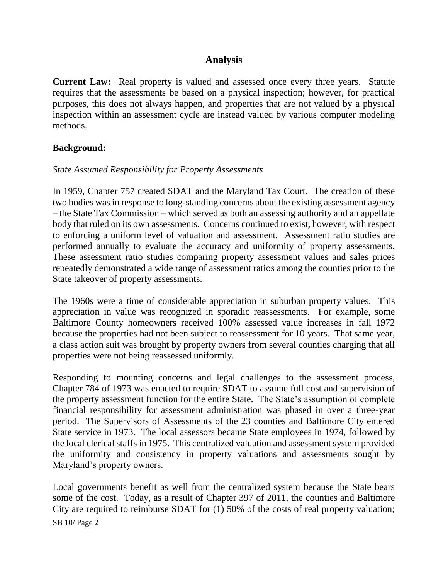## **Analysis**

**Current Law:** Real property is valued and assessed once every three years. Statute requires that the assessments be based on a physical inspection; however, for practical purposes, this does not always happen, and properties that are not valued by a physical inspection within an assessment cycle are instead valued by various computer modeling methods.

### **Background:**

#### *State Assumed Responsibility for Property Assessments*

In 1959, Chapter 757 created SDAT and the Maryland Tax Court. The creation of these two bodies was in response to long-standing concerns about the existing assessment agency – the State Tax Commission – which served as both an assessing authority and an appellate body that ruled on its own assessments. Concerns continued to exist, however, with respect to enforcing a uniform level of valuation and assessment. Assessment ratio studies are performed annually to evaluate the accuracy and uniformity of property assessments. These assessment ratio studies comparing property assessment values and sales prices repeatedly demonstrated a wide range of assessment ratios among the counties prior to the State takeover of property assessments.

The 1960s were a time of considerable appreciation in suburban property values. This appreciation in value was recognized in sporadic reassessments. For example, some Baltimore County homeowners received 100% assessed value increases in fall 1972 because the properties had not been subject to reassessment for 10 years. That same year, a class action suit was brought by property owners from several counties charging that all properties were not being reassessed uniformly.

Responding to mounting concerns and legal challenges to the assessment process, Chapter 784 of 1973 was enacted to require SDAT to assume full cost and supervision of the property assessment function for the entire State. The State's assumption of complete financial responsibility for assessment administration was phased in over a three-year period. The Supervisors of Assessments of the 23 counties and Baltimore City entered State service in 1973. The local assessors became State employees in 1974, followed by the local clerical staffs in 1975. This centralized valuation and assessment system provided the uniformity and consistency in property valuations and assessments sought by Maryland's property owners.

SB 10/ Page 2 Local governments benefit as well from the centralized system because the State bears some of the cost. Today, as a result of Chapter 397 of 2011, the counties and Baltimore City are required to reimburse SDAT for (1) 50% of the costs of real property valuation;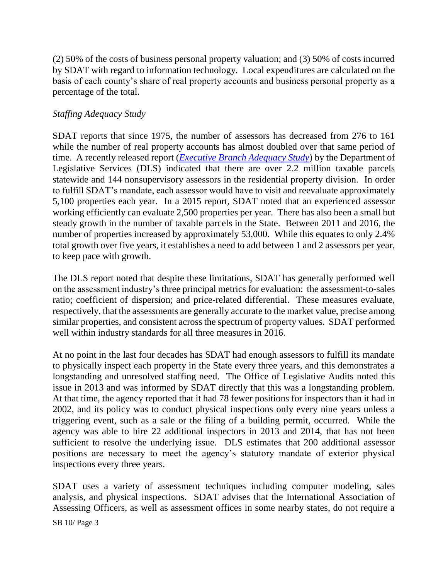(2) 50% of the costs of business personal property valuation; and (3) 50% of costs incurred by SDAT with regard to information technology. Local expenditures are calculated on the basis of each county's share of real property accounts and business personal property as a percentage of the total.

### *Staffing Adequacy Study*

SDAT reports that since 1975, the number of assessors has decreased from 276 to 161 while the number of real property accounts has almost doubled over that same period of time. A recently released report (*[Executive Branch Adequacy](http://dls.maryland.gov/pubs/prod/TaxFiscalPlan/Executive-Branch-Staffing-Adequacy-Study.pdf) Study*) by the Department of Legislative Services (DLS) indicated that there are over 2.2 million taxable parcels statewide and 144 nonsupervisory assessors in the residential property division. In order to fulfill SDAT's mandate, each assessor would have to visit and reevaluate approximately 5,100 properties each year. In a 2015 report, SDAT noted that an experienced assessor working efficiently can evaluate 2,500 properties per year. There has also been a small but steady growth in the number of taxable parcels in the State. Between 2011 and 2016, the number of properties increased by approximately 53,000. While this equates to only 2.4% total growth over five years, it establishes a need to add between 1 and 2 assessors per year, to keep pace with growth.

The DLS report noted that despite these limitations, SDAT has generally performed well on the assessment industry's three principal metrics for evaluation: the assessment-to-sales ratio; coefficient of dispersion; and price-related differential. These measures evaluate, respectively, that the assessments are generally accurate to the market value, precise among similar properties, and consistent across the spectrum of property values. SDAT performed well within industry standards for all three measures in 2016.

At no point in the last four decades has SDAT had enough assessors to fulfill its mandate to physically inspect each property in the State every three years, and this demonstrates a longstanding and unresolved staffing need. The Office of Legislative Audits noted this issue in 2013 and was informed by SDAT directly that this was a longstanding problem. At that time, the agency reported that it had 78 fewer positions for inspectors than it had in 2002, and its policy was to conduct physical inspections only every nine years unless a triggering event, such as a sale or the filing of a building permit, occurred. While the agency was able to hire 22 additional inspectors in 2013 and 2014, that has not been sufficient to resolve the underlying issue. DLS estimates that 200 additional assessor positions are necessary to meet the agency's statutory mandate of exterior physical inspections every three years.

SDAT uses a variety of assessment techniques including computer modeling, sales analysis, and physical inspections. SDAT advises that the International Association of Assessing Officers, as well as assessment offices in some nearby states, do not require a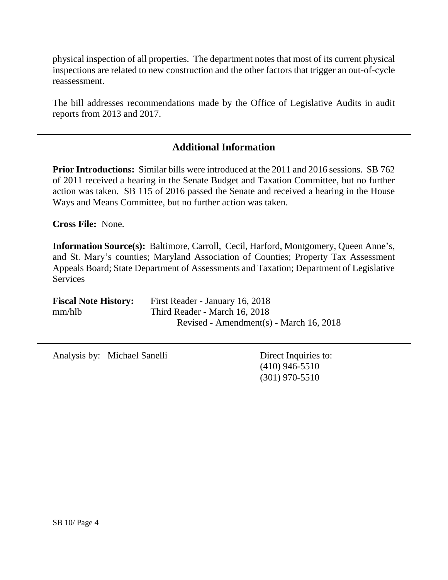physical inspection of all properties. The department notes that most of its current physical inspections are related to new construction and the other factors that trigger an out-of-cycle reassessment.

The bill addresses recommendations made by the Office of Legislative Audits in audit reports from 2013 and 2017.

## **Additional Information**

**Prior Introductions:** Similar bills were introduced at the 2011 and 2016 sessions. SB 762 of 2011 received a hearing in the Senate Budget and Taxation Committee, but no further action was taken. SB 115 of 2016 passed the Senate and received a hearing in the House Ways and Means Committee, but no further action was taken.

**Cross File:** None.

**Information Source(s):** Baltimore, Carroll, Cecil, Harford, Montgomery, Queen Anne's, and St. Mary's counties; Maryland Association of Counties; Property Tax Assessment Appeals Board; State Department of Assessments and Taxation; Department of Legislative **Services** 

| <b>Fiscal Note History:</b> | First Reader - January 16, 2018         |
|-----------------------------|-----------------------------------------|
| mm/hlb                      | Third Reader - March 16, 2018           |
|                             | Revised - Amendment(s) - March 16, 2018 |

Analysis by: Michael Sanelli Direct Inquiries to:

(410) 946-5510 (301) 970-5510